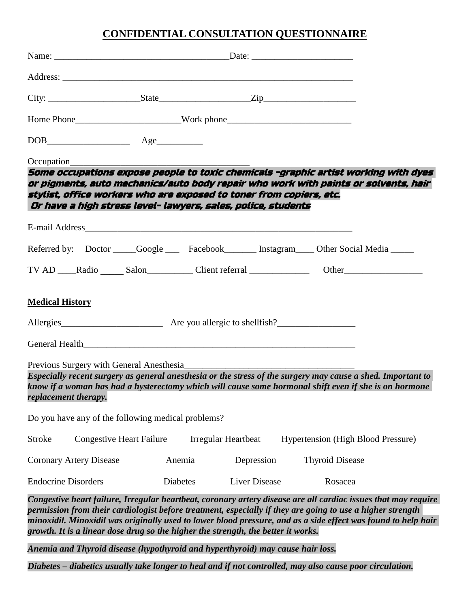# **CONFIDENTIAL CONSULTATION QUESTIONNAIRE**

|                            | Occupation                                                                                                                                                                                                                                                                                                                                                                                                                         |                            |                      |                                           |  |
|----------------------------|------------------------------------------------------------------------------------------------------------------------------------------------------------------------------------------------------------------------------------------------------------------------------------------------------------------------------------------------------------------------------------------------------------------------------------|----------------------------|----------------------|-------------------------------------------|--|
|                            | Some occupations expose people to toxic chemicals -graphic artist working with dyes<br>or pigments, auto mechanics/auto body repair who work with paints or solvents, hair<br>stylist, office workers who are exposed to toner from copiers, etc.<br>Or have a high stress level- lawyers, sales, police, students                                                                                                                 |                            |                      |                                           |  |
|                            |                                                                                                                                                                                                                                                                                                                                                                                                                                    |                            |                      |                                           |  |
|                            | Referred by: Doctor _____Google ______Facebook________Instagram____Other Social Media _____                                                                                                                                                                                                                                                                                                                                        |                            |                      |                                           |  |
|                            |                                                                                                                                                                                                                                                                                                                                                                                                                                    |                            |                      |                                           |  |
| <b>Medical History</b>     |                                                                                                                                                                                                                                                                                                                                                                                                                                    |                            |                      |                                           |  |
|                            | Allergies Allergies Are you allergic to shellfish?                                                                                                                                                                                                                                                                                                                                                                                 |                            |                      |                                           |  |
|                            |                                                                                                                                                                                                                                                                                                                                                                                                                                    |                            |                      |                                           |  |
|                            | Previous Surgery with General Anesthesia                                                                                                                                                                                                                                                                                                                                                                                           |                            |                      |                                           |  |
|                            | Especially recent surgery as general anesthesia or the stress of the surgery may cause a shed. Important to<br>know if a woman has had a hysterectomy which will cause some hormonal shift even if she is on hormone<br>replacement therapy.                                                                                                                                                                                       |                            |                      |                                           |  |
|                            | Do you have any of the following medical problems?                                                                                                                                                                                                                                                                                                                                                                                 |                            |                      |                                           |  |
| <b>Stroke</b>              | <b>Congestive Heart Failure</b>                                                                                                                                                                                                                                                                                                                                                                                                    | <b>Irregular Heartbeat</b> |                      | <b>Hypertension (High Blood Pressure)</b> |  |
|                            | <b>Coronary Artery Disease</b>                                                                                                                                                                                                                                                                                                                                                                                                     | Anemia                     | Depression           | <b>Thyroid Disease</b>                    |  |
| <b>Endocrine Disorders</b> |                                                                                                                                                                                                                                                                                                                                                                                                                                    | Diabetes                   | <b>Liver Disease</b> | Rosacea                                   |  |
|                            | Congestive heart failure, Irregular heartbeat, coronary artery disease are all cardiac issues that may require<br>permission from their cardiologist before treatment, especially if they are going to use a higher strength<br>minoxidil. Minoxidil was originally used to lower blood pressure, and as a side effect was found to help hair<br>growth. It is a linear dose drug so the higher the strength, the better it works. |                            |                      |                                           |  |
|                            | Anemia and Thyroid disease (hypothyroid and hyperthyroid) may cause hair loss.                                                                                                                                                                                                                                                                                                                                                     |                            |                      |                                           |  |

*Diabetes – diabetics usually take longer to heal and if not controlled, may also cause poor circulation.*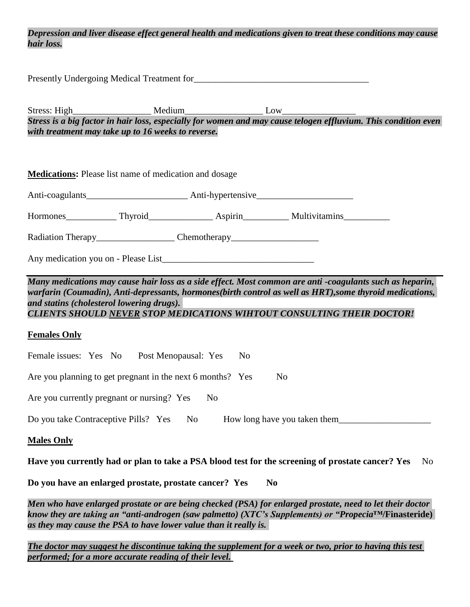### *Depression and liver disease effect general health and medications given to treat these conditions may cause hair loss.*

Presently Undergoing Medical Treatment for\_\_\_\_\_\_\_\_\_\_\_\_\_\_\_\_\_\_\_\_\_\_\_\_\_\_\_\_\_\_\_\_\_\_\_\_\_\_

Stress: High Medium Medium Low *Stress is a big factor in hair loss, especially for women and may cause telogen effluvium. This condition even with treatment may take up to 16 weeks to reverse.*

|  |  |  | <b>Medications:</b> Please list name of medication and dosage |  |
|--|--|--|---------------------------------------------------------------|--|
|--|--|--|---------------------------------------------------------------|--|

| Anti-coagulants | Anti-hypertensive |
|-----------------|-------------------|
|                 |                   |
|                 |                   |

| Hormones | `hvroid | .sd1r1n | <b>Multivitamins</b> |
|----------|---------|---------|----------------------|
|          |         |         |                      |

Radiation Therapy\_\_\_\_\_\_\_\_\_\_\_\_\_\_\_\_\_ Chemotherapy\_\_\_\_\_\_\_\_\_\_\_\_\_\_\_\_\_\_\_

Any medication you on - Please List

*Many medications may cause hair loss as a side effect. Most common are anti -coagulants such as heparin, warfarin (Coumadin), Anti-depressants, hormones(birth control as well as HRT),some thyroid medications, and statins (cholesterol lowering drugs). CLIENTS SHOULD NEVER STOP MEDICATIONS WIHTOUT CONSULTING THEIR DOCTOR!*

# **Females Only**

| Female issues: Yes No<br>Post Menopausal: Yes<br>N <sub>0</sub> |                |
|-----------------------------------------------------------------|----------------|
| Are you planning to get pregnant in the next 6 months? Yes      | N <sub>0</sub> |
| Are you currently pregnant or nursing? Yes<br>N <sub>0</sub>    |                |
| Do you take Contraceptive Pills? Yes No                         |                |
| <b>Males Only</b>                                               |                |

# **Have you currently had or plan to take a PSA blood test for the screening of prostate cancer? Yes** No

**Do you have an enlarged prostate, prostate cancer? Yes No**

*Men who have enlarged prostate or are being checked (PSA) for enlarged prostate, need to let their doctor know they are taking an "anti-androgen (saw palmetto) (XTC's Supplements) or "Propecia***™/Finasteride)**  *as they may cause the PSA to have lower value than it really is.* 

*The doctor may suggest he discontinue taking the supplement for a week or two, prior to having this test performed; for a more accurate reading of their level.*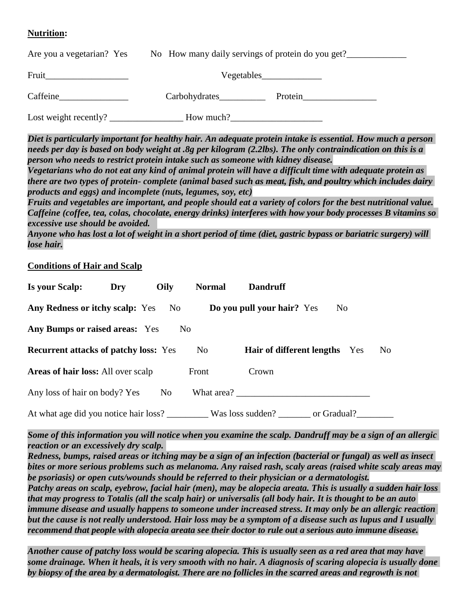# **Nutrition:**

| Are you a vegetarian? Yes | No How many daily servings of protein do you get? |  |  |  |
|---------------------------|---------------------------------------------------|--|--|--|
| Fruit                     | Vegetables <u>version</u>                         |  |  |  |
| Caffeine                  | Carbohydrates<br>Protein                          |  |  |  |
| Lost weight recently?     | How much?                                         |  |  |  |

*Diet is particularly important for healthy hair. An adequate protein intake is essential. How much a person needs per day is based on body weight at .8g per kilogram (2.2lbs). The only contraindication on this is a person who needs to restrict protein intake such as someone with kidney disease.*

*Vegetarians who do not eat any kind of animal protein will have a difficult time with adequate protein as there are two types of protein- complete (animal based such as meat, fish, and poultry which includes dairy products and eggs) and incomplete (nuts, legumes, soy, etc)*

*Fruits and vegetables are important, and people should eat a variety of colors for the best nutritional value. Caffeine (coffee, tea, colas, chocolate, energy drinks) interferes with how your body processes B vitamins so excessive use should be avoided.* 

*Anyone who has lost a lot of weight in a short period of time (diet, gastric bypass or bariatric surgery) will lose hair.*

# **Conditions of Hair and Scalp**

| <b>Is your Scalp:</b>                        | Dry | Oily           | <b>Normal</b> | <b>Dandruff</b>                       |                |    |
|----------------------------------------------|-----|----------------|---------------|---------------------------------------|----------------|----|
| <b>Any Redness or itchy scalp:</b> Yes       |     | N <sub>0</sub> |               | Do you pull your hair? Yes            | N <sub>0</sub> |    |
| <b>Any Bumps or raised areas:</b> Yes        |     | N <sub>0</sub> |               |                                       |                |    |
| <b>Recurrent attacks of patchy loss:</b> Yes |     |                | No.           | Hair of different lengths             | Yes            | No |
| <b>Areas of hair loss:</b> All over scalp    |     |                | Front         | Crown                                 |                |    |
| Any loss of hair on body? Yes                |     | N <sub>0</sub> |               | What area?                            |                |    |
| At what age did you notice hair loss?        |     |                |               | Was loss sudden? ________ or Gradual? |                |    |

*Some of this information you will notice when you examine the scalp. Dandruff may be a sign of an allergic reaction or an excessively dry scalp.* 

*Redness, bumps, raised areas or itching may be a sign of an infection (bacterial or fungal) as well as insect bites or more serious problems such as melanoma. Any raised rash, scaly areas (raised white scaly areas may be psoriasis) or open cuts/wounds should be referred to their physician or a dermatologist. Patchy areas on scalp, eyebrow, facial hair (men), may be alopecia areata. This is usually a sudden hair loss that may progress to Totalis (all the scalp hair) or universalis (all body hair. It is thought to be an auto immune disease and usually happens to someone under increased stress. It may only be an allergic reaction but the cause is not really understood. Hair loss may be a symptom of a disease such as lupus and I usually recommend that people with alopecia areata see their doctor to rule out a serious auto immune disease.*

*Another cause of patchy loss would be scaring alopecia. This is usually seen as a red area that may have some drainage. When it heals, it is very smooth with no hair. A diagnosis of scaring alopecia is usually done by biopsy of the area by a dermatologist. There are no follicles in the scarred areas and regrowth is not*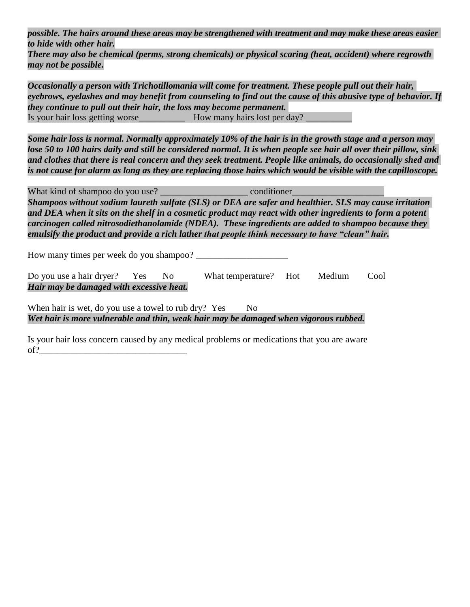*possible. The hairs around these areas may be strengthened with treatment and may make these areas easier to hide with other hair.*

*There may also be chemical (perms, strong chemicals) or physical scaring (heat, accident) where regrowth may not be possible.*

*Occasionally a person with Trichotillomania will come for treatment. These people pull out their hair, eyebrows, eyelashes and may benefit from counseling to find out the cause of this abusive type of behavior. If they continue to pull out their hair, the loss may become permanent.*  Is your hair loss getting worse\_\_\_\_\_\_\_\_\_\_\_\_ How many hairs lost per day?

*Some hair loss is normal. Normally approximately 10% of the hair is in the growth stage and a person may lose 50 to 100 hairs daily and still be considered normal. It is when people see hair all over their pillow, sink and clothes that there is real concern and they seek treatment. People like animals, do occasionally shed and is not cause for alarm as long as they are replacing those hairs which would be visible with the capilloscope.*

What kind of shampoo do you use? example the conditioner *Shampoos without sodium laureth sulfate (SLS) or DEA are safer and healthier. SLS may cause irritation and DEA when it sits on the shelf in a cosmetic product may react with other ingredients to form a potent carcinogen called nitrosodiethanolamide (NDEA). These ingredients are added to shampoo because they* 

*emulsify the product and provide a rich lather that people think necessary to have "clean" hair.*

How many times per week do you shampoo? \_\_\_\_\_\_\_\_\_\_\_\_\_\_\_\_\_\_\_\_

| Do you use a hair dryer? Yes             | - No | What temperature? Hot | Medium Cool |  |
|------------------------------------------|------|-----------------------|-------------|--|
| Hair may be damaged with excessive heat. |      |                       |             |  |

When hair is wet, do you use a towel to rub dry? Yes No *Wet hair is more vulnerable and thin, weak hair may be damaged when vigorous rubbed.*

Is your hair loss concern caused by any medical problems or medications that you are aware of?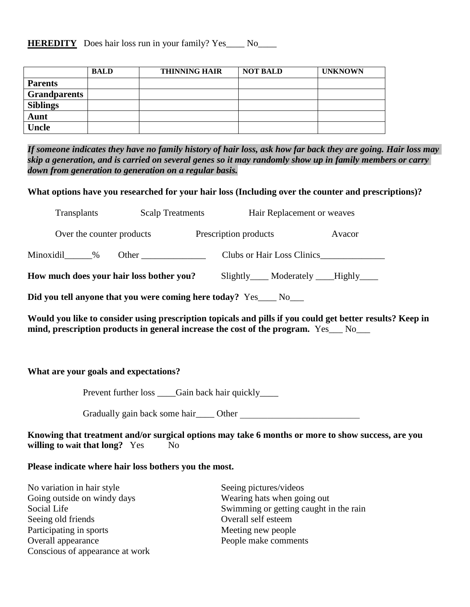#### **HEREDITY** Does hair loss run in your family? Yes No

|                     | <b>BALD</b> | <b>THINNING HAIR</b> | <b>NOT BALD</b> | <b>UNKNOWN</b> |
|---------------------|-------------|----------------------|-----------------|----------------|
| <b>Parents</b>      |             |                      |                 |                |
| <b>Grandparents</b> |             |                      |                 |                |
| <b>Siblings</b>     |             |                      |                 |                |
| Aunt                |             |                      |                 |                |
| <b>Uncle</b>        |             |                      |                 |                |

*If someone indicates they have no family history of hair loss, ask how far back they are going. Hair loss may skip a generation, and is carried on several genes so it may randomly show up in family members or carry down from generation to generation on a regular basis.*

**What options have you researched for your hair loss (Including over the counter and prescriptions)?**

| <b>Transplants</b>                       | <b>Scalp Treatments</b> | Hair Replacement or weaves                |        |
|------------------------------------------|-------------------------|-------------------------------------------|--------|
| Over the counter products                |                         | Prescription products                     | Avacor |
| Minoxidil<br>$\%$                        | Other                   | <b>Clubs or Hair Loss Clinics</b>         |        |
| How much does your hair loss bother you? |                         | Slightly_____ Moderately _____Highly_____ |        |

**Did you tell anyone that you were coming here today?** Yes\_\_\_\_ No\_\_\_

**Would you like to consider using prescription topicals and pills if you could get better results? Keep in mind, prescription products in general increase the cost of the program.** Yes No

#### **What are your goals and expectations?**

Prevent further loss \_\_\_\_Gain back hair quickly\_\_\_\_

Gradually gain back some hair\_\_\_\_ Other \_\_\_\_\_\_\_\_\_\_\_\_\_\_\_\_\_\_\_\_\_\_\_\_\_\_

**Knowing that treatment and/or surgical options may take 6 months or more to show success, are you willing to wait that long?** Yes No

#### **Please indicate where hair loss bothers you the most.**

No variation in hair style Seeing pictures/videos Going outside on windy days Wearing hats when going out Seeing old friends Overall self esteem Participating in sports Meeting new people Overall appearance People make comments Conscious of appearance at work

Social Life Swimming or getting caught in the rain